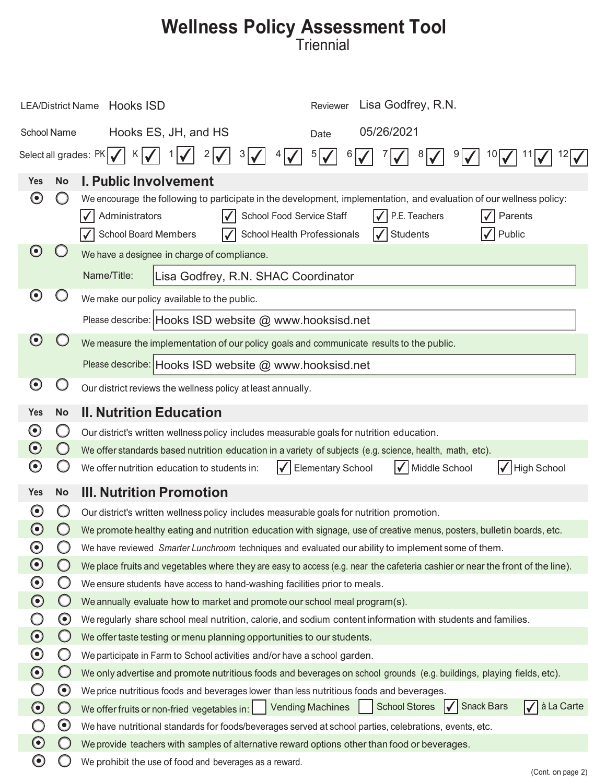## **Wellness Policy Assessment Tool**

| Lisa Godfrey, R.N.<br>LEA/District Name Hooks ISD<br>Reviewer |                                                                                          |                                                                                                                                                                                                                                                                                            |  |  |
|---------------------------------------------------------------|------------------------------------------------------------------------------------------|--------------------------------------------------------------------------------------------------------------------------------------------------------------------------------------------------------------------------------------------------------------------------------------------|--|--|
| 05/26/2021<br>Hooks ES, JH, and HS<br>School Name<br>Date     |                                                                                          |                                                                                                                                                                                                                                                                                            |  |  |
| Select all grades: PK<br>2<br>5 <br>6<br>3<br>8<br>10         |                                                                                          |                                                                                                                                                                                                                                                                                            |  |  |
| Yes                                                           | <b>No</b>                                                                                | <b>I. Public Involvement</b>                                                                                                                                                                                                                                                               |  |  |
| $\boldsymbol{\Theta}$                                         |                                                                                          | We encourage the following to participate in the development, implementation, and evaluation of our wellness policy:<br>P.E. Teachers<br>Administrators<br>School Food Service Staff<br>Parents<br><b>School Board Members</b><br>School Health Professionals<br><b>Students</b><br>Public |  |  |
| $\odot$                                                       |                                                                                          | We have a designee in charge of compliance.                                                                                                                                                                                                                                                |  |  |
|                                                               |                                                                                          | Name/Title:<br>Lisa Godfrey, R.N. SHAC Coordinator                                                                                                                                                                                                                                         |  |  |
| $\boldsymbol{\Theta}$                                         |                                                                                          | We make our policy available to the public.                                                                                                                                                                                                                                                |  |  |
| Please describe: Hooks ISD website @ www.hooksisd.net         |                                                                                          |                                                                                                                                                                                                                                                                                            |  |  |
| $\odot$                                                       | We measure the implementation of our policy goals and communicate results to the public. |                                                                                                                                                                                                                                                                                            |  |  |
|                                                               | Please describe: Hooks ISD website @ www.hooksisd.net                                    |                                                                                                                                                                                                                                                                                            |  |  |
| $\boldsymbol{\Theta}$                                         |                                                                                          | Our district reviews the wellness policy at least annually.                                                                                                                                                                                                                                |  |  |
| <b>Yes</b>                                                    | <b>No</b>                                                                                | <b>II. Nutrition Education</b>                                                                                                                                                                                                                                                             |  |  |
| $\boldsymbol{\odot}$                                          |                                                                                          | Our district's written wellness policy includes measurable goals for nutrition education.                                                                                                                                                                                                  |  |  |
| $\boldsymbol{\odot}$                                          | $\bigcirc$                                                                               | We offer standards based nutrition education in a variety of subjects (e.g. science, health, math, etc).                                                                                                                                                                                   |  |  |
| $\boldsymbol{\Theta}$                                         |                                                                                          | Middle School<br>High School<br>We offer nutrition education to students in:<br><b>Elementary School</b>                                                                                                                                                                                   |  |  |
| <b>Yes</b>                                                    | <b>No</b>                                                                                | <b>III. Nutrition Promotion</b>                                                                                                                                                                                                                                                            |  |  |
| $\boldsymbol{\Theta}$                                         | Ο                                                                                        | Our district's written wellness policy includes measurable goals for nutrition promotion.                                                                                                                                                                                                  |  |  |
| $\boldsymbol{\Theta}$                                         |                                                                                          | We promote healthy eating and nutrition education with signage, use of creative menus, posters, bulletin boards, etc.                                                                                                                                                                      |  |  |
| $\boldsymbol{\odot}$                                          |                                                                                          | We have reviewed Smarter Lunchroom techniques and evaluated our ability to implement some of them.                                                                                                                                                                                         |  |  |
| $\odot$                                                       | $\left( \begin{array}{c} 1 \end{array} \right)$                                          | We place fruits and vegetables where they are easy to access (e.g. near the cafeteria cashier or near the front of the line).                                                                                                                                                              |  |  |
| $\boldsymbol{\odot}$                                          | O                                                                                        | We ensure students have access to hand-washing facilities prior to meals.                                                                                                                                                                                                                  |  |  |
| $\bf{O}$                                                      | $\bigcirc$                                                                               | We annually evaluate how to market and promote our school meal program(s).                                                                                                                                                                                                                 |  |  |
| $\bigcirc$                                                    | $\boldsymbol{\Theta}$                                                                    | We regularly share school meal nutrition, calorie, and sodium content information with students and families.                                                                                                                                                                              |  |  |
| $\bigodot$                                                    | $\bigcirc$                                                                               | We offer taste testing or menu planning opportunities to our students.                                                                                                                                                                                                                     |  |  |
| $\boldsymbol{\odot}$                                          | O                                                                                        | We participate in Farm to School activities and/or have a school garden.                                                                                                                                                                                                                   |  |  |
| $\odot$                                                       | $\bigcirc$                                                                               | We only advertise and promote nutritious foods and beverages on school grounds (e.g. buildings, playing fields, etc).                                                                                                                                                                      |  |  |
|                                                               | $\boldsymbol{\Theta}$                                                                    | We price nutritious foods and beverages lower than less nutritious foods and beverages.                                                                                                                                                                                                    |  |  |
| $\bigodot$                                                    | $\bigcirc$                                                                               | à La Carte<br>School Stores   Snack Bars<br>Ⅳ<br>We offer fruits or non-fried vegetables in:     Vending Machines                                                                                                                                                                          |  |  |
|                                                               | $\boldsymbol{\Theta}$                                                                    | We have nutritional standards for foods/beverages served at school parties, celebrations, events, etc.                                                                                                                                                                                     |  |  |
| $\odot$                                                       |                                                                                          | We provide teachers with samples of alternative reward options other than food or beverages.                                                                                                                                                                                               |  |  |
| $\boldsymbol{\odot}$                                          |                                                                                          | We prohibit the use of food and beverages as a reward.                                                                                                                                                                                                                                     |  |  |